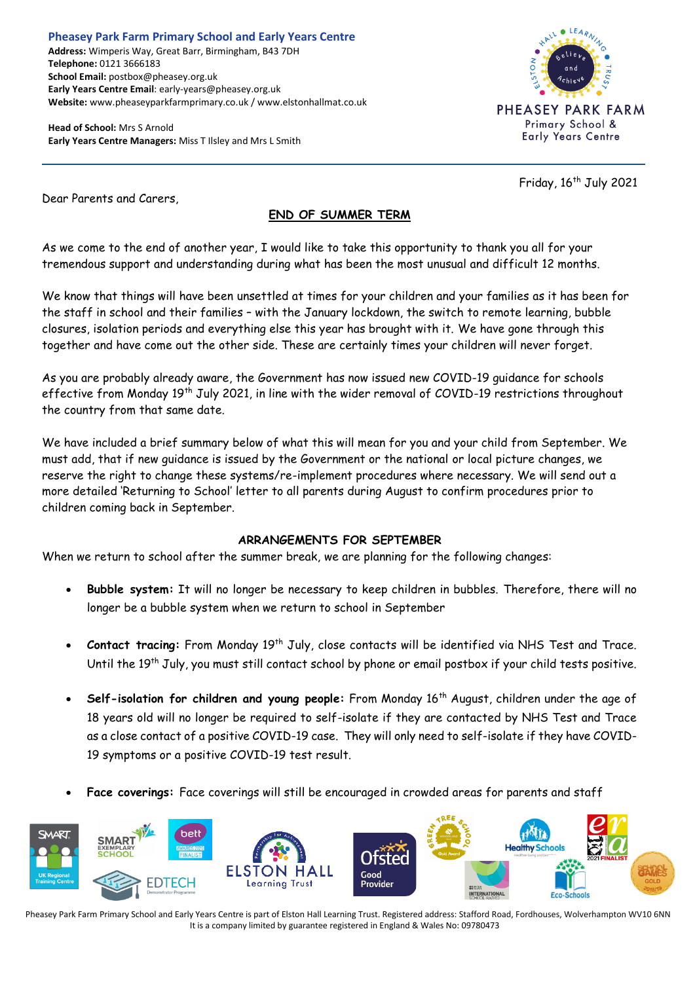**Pheasey Park Farm Primary School and Early Years Centre Address:** Wimperis Way, Great Barr, Birmingham, B43 7DH **Telephone:** 0121 3666183 **School Email:** postbox@pheasey.org.uk **Early Years Centre Email**: early-years@pheasey.org.uk **Website:** www.pheaseyparkfarmprimary.co.uk / www.elstonhallmat.co.uk

**Head of School:** Mrs S Arnold **Early Years Centre Managers:** Miss T Ilsley and Mrs L Smith



Friday, 16 th July 2021

Dear Parents and Carers,

# **END OF SUMMER TERM**

As we come to the end of another year, I would like to take this opportunity to thank you all for your tremendous support and understanding during what has been the most unusual and difficult 12 months.

We know that things will have been unsettled at times for your children and your families as it has been for the staff in school and their families – with the January lockdown, the switch to remote learning, bubble closures, isolation periods and everything else this year has brought with it. We have gone through this together and have come out the other side. These are certainly times your children will never forget.

As you are probably already aware, the Government has now issued new COVID-19 guidance for schools effective from Monday 19<sup>th</sup> July 2021, in line with the wider removal of COVID-19 restrictions throughout the country from that same date.

We have included a brief summary below of what this will mean for you and your child from September. We must add, that if new guidance is issued by the Government or the national or local picture changes, we reserve the right to change these systems/re-implement procedures where necessary. We will send out a more detailed 'Returning to School' letter to all parents during August to confirm procedures prior to children coming back in September.

# **ARRANGEMENTS FOR SEPTEMBER**

When we return to school after the summer break, we are planning for the following changes:

- **Bubble system:** It will no longer be necessary to keep children in bubbles. Therefore, there will no longer be a bubble system when we return to school in September
- **Contact tracing:** From Monday 19<sup>th</sup> July, close contacts will be identified via NHS Test and Trace. Until the 19<sup>th</sup> July, you must still contact school by phone or email postbox if your child tests positive.
- **Self-isolation for children and young people:** From Monday 16th August, children under the age of 18 years old will no longer be required to self-isolate if they are contacted by NHS Test and Trace as a close contact of a positive COVID-19 case. They will only need to self-isolate if they have COVID-19 symptoms or a positive COVID-19 test result.
- **Face coverings:** Face coverings will still be encouraged in crowded areas for parents and staff

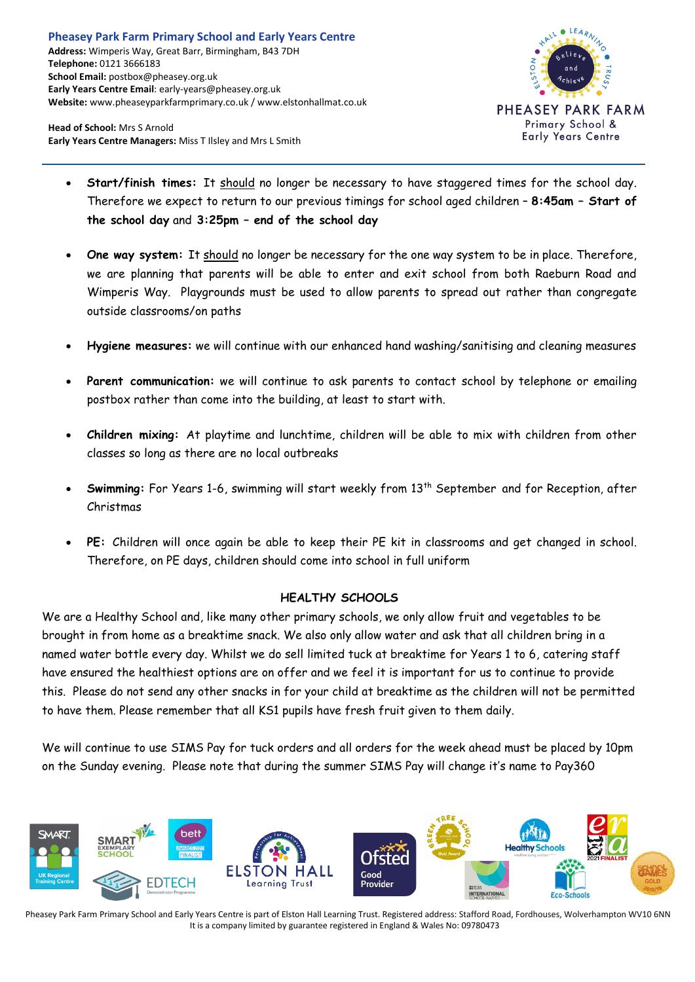

**Head of School:** Mrs S Arnold **Early Years Centre Managers:** Miss T Ilsley and Mrs L Smith

- **Start/finish times:** It should no longer be necessary to have staggered times for the school day. Therefore we expect to return to our previous timings for school aged children – **8:45am – Start of the school day** and **3:25pm – end of the school day**
- **One way system:** It should no longer be necessary for the one way system to be in place. Therefore, we are planning that parents will be able to enter and exit school from both Raeburn Road and Wimperis Way. Playgrounds must be used to allow parents to spread out rather than congregate outside classrooms/on paths
- **Hygiene measures:** we will continue with our enhanced hand washing/sanitising and cleaning measures
- **Parent communication:** we will continue to ask parents to contact school by telephone or emailing postbox rather than come into the building, at least to start with.
- **Children mixing:** At playtime and lunchtime, children will be able to mix with children from other classes so long as there are no local outbreaks
- **Swimming:** For Years 1-6, swimming will start weekly from 13th September and for Reception, after Christmas
- **PE:** Children will once again be able to keep their PE kit in classrooms and get changed in school. Therefore, on PE days, children should come into school in full uniform

# **HEALTHY SCHOOLS**

We are a Healthy School and, like many other primary schools, we only allow fruit and vegetables to be brought in from home as a breaktime snack. We also only allow water and ask that all children bring in a named water bottle every day. Whilst we do sell limited tuck at breaktime for Years 1 to 6, catering staff have ensured the healthiest options are on offer and we feel it is important for us to continue to provide this. Please do not send any other snacks in for your child at breaktime as the children will not be permitted to have them. Please remember that all KS1 pupils have fresh fruit given to them daily.

We will continue to use SIMS Pay for tuck orders and all orders for the week ahead must be placed by 10pm on the Sunday evening. Please note that during the summer SIMS Pay will change it's name to Pay360

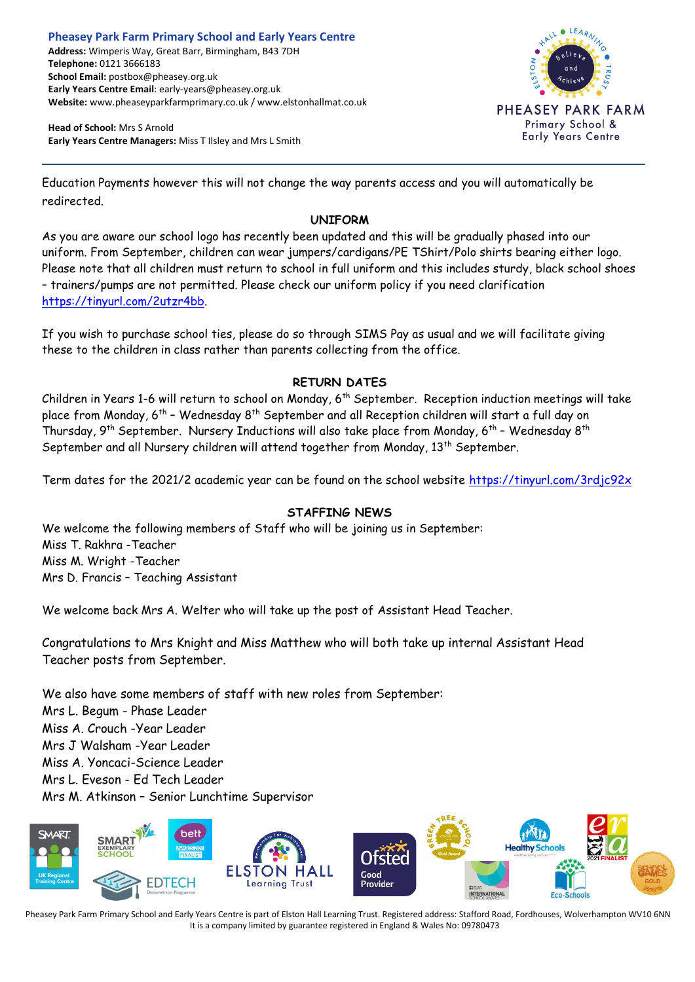**Head of School:** Mrs S Arnold **Early Years Centre Managers:** Miss T Ilsley and Mrs L Smith



Education Payments however this will not change the way parents access and you will automatically be redirected.

#### **UNIFORM**

As you are aware our school logo has recently been updated and this will be gradually phased into our uniform. From September, children can wear jumpers/cardigans/PE TShirt/Polo shirts bearing either logo. Please note that all children must return to school in full uniform and this includes sturdy, black school shoes – trainers/pumps are not permitted. Please check our uniform policy if you need clarification [https://tinyurl.com/2utzr4bb.](https://tinyurl.com/2utzr4bb)

If you wish to purchase school ties, please do so through SIMS Pay as usual and we will facilitate giving these to the children in class rather than parents collecting from the office.

# **RETURN DATES**

Children in Years 1-6 will return to school on Monday, 6th September. Reception induction meetings will take place from Monday, 6th – Wednesday 8th September and all Reception children will start a full day on Thursday, 9<sup>th</sup> September. Nursery Inductions will also take place from Monday, 6<sup>th</sup> - Wednesday 8<sup>th</sup> September and all Nursery children will attend together from Monday, 13<sup>th</sup> September.

Term dates for the 2021/2 academic year can be found on the school website <https://tinyurl.com/3rdjc92x>

# **STAFFING NEWS**

We welcome the following members of Staff who will be joining us in September: Miss T. Rakhra -Teacher Miss M. Wright -Teacher Mrs D. Francis – Teaching Assistant

We welcome back Mrs A. Welter who will take up the post of Assistant Head Teacher.

Congratulations to Mrs Knight and Miss Matthew who will both take up internal Assistant Head Teacher posts from September.

We also have some members of staff with new roles from September: Mrs L. Begum - Phase Leader Miss A. Crouch -Year Leader Mrs J Walsham -Year Leader Miss A. Yoncaci-Science Leader Mrs L. Eveson - Ed Tech Leader Mrs M. Atkinson – Senior Lunchtime Supervisor